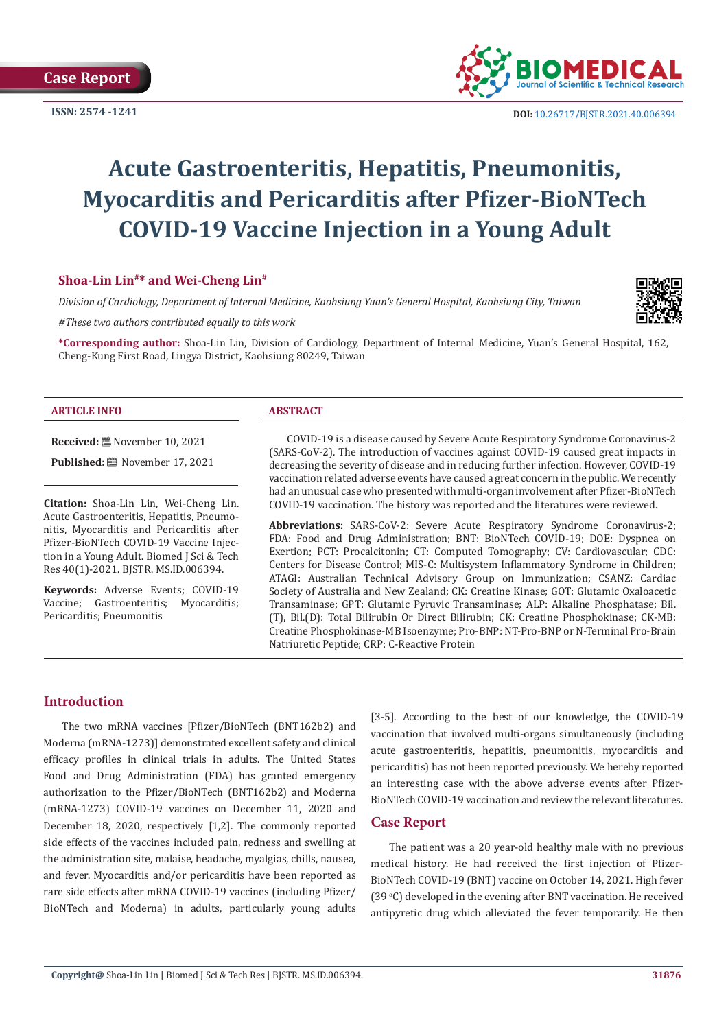**Case Report**

**ISSN: 2574 -1241**



# **Acute Gastroenteritis, Hepatitis, Pneumonitis, Myocarditis and Pericarditis after Pfizer-BioNTech COVID-19 Vaccine Injection in a Young Adult**

# **Shoa-Lin Lin#\* and Wei-Cheng Lin#**

*Division of Cardiology, Department of Internal Medicine, Kaohsiung Yuan's General Hospital, Kaohsiung City, Taiwan*

*#These two authors contributed equally to this work*

**\*Corresponding author:** Shoa-Lin Lin, Division of Cardiology, Department of Internal Medicine, Yuan's General Hospital, 162, Cheng-Kung First Road, Lingya District, Kaohsiung 80249, Taiwan

| <b>ARTICLE INFO</b> |
|---------------------|
|---------------------|

#### **ABSTRACT**

**Received:** November 10, 2021 **Published:** ■ November 17, 2021

**Citation:** Shoa-Lin Lin, Wei-Cheng Lin. Acute Gastroenteritis, Hepatitis, Pneumonitis, Myocarditis and Pericarditis after Pfizer-BioNTech COVID-19 Vaccine Injection in a Young Adult. Biomed J Sci & Tech Res 40(1)-2021. BJSTR. MS.ID.006394.

**Keywords:** Adverse Events; COVID-19<br>Vaccine: Gastroenteritis: Myocarditis: Vaccine; Gastroenteritis; Pericarditis; Pneumonitis

COVID-19 is a disease caused by Severe Acute Respiratory Syndrome Coronavirus-2 (SARS-CoV-2). The introduction of vaccines against COVID-19 caused great impacts in decreasing the severity of disease and in reducing further infection. However, COVID-19 vaccination related adverse events have caused a great concern in the public. We recently had an unusual case who presented with multi-organ involvement after Pfizer-BioNTech COVID-19 vaccination. The history was reported and the literatures were reviewed.

**Abbreviations:** SARS-CoV-2: Severe Acute Respiratory Syndrome Coronavirus-2; FDA: Food and Drug Administration; BNT: BioNTech COVID-19; DOE: Dyspnea on Exertion; PCT: Procalcitonin; CT: Computed Tomography; CV: Cardiovascular; CDC: Centers for Disease Control; MIS-C: Multisystem Inflammatory Syndrome in Children; ATAGI: Australian Technical Advisory Group on Immunization; CSANZ: Cardiac Society of Australia and New Zealand; CK: Creatine Kinase; GOT: Glutamic Oxaloacetic Transaminase; GPT: Glutamic Pyruvic Transaminase; ALP: Alkaline Phosphatase; Bil. (T), Bil.(D): Total Bilirubin Or Direct Bilirubin; CK: Creatine Phosphokinase; CK-MB: Creatine Phosphokinase-MB Isoenzyme; Pro-BNP: NT-Pro-BNP or N-Terminal Pro-Brain Natriuretic Peptide; CRP: C-Reactive Protein

# **Introduction**

The two mRNA vaccines [Pfizer/BioNTech (BNT162b2) and Moderna (mRNA-1273)] demonstrated excellent safety and clinical efficacy profiles in clinical trials in adults. The United States Food and Drug Administration (FDA) has granted emergency authorization to the Pfizer/BioNTech (BNT162b2) and Moderna (mRNA-1273) COVID-19 vaccines on December 11, 2020 and December 18, 2020, respectively [1,2]. The commonly reported side effects of the vaccines included pain, redness and swelling at the administration site, malaise, headache, myalgias, chills, nausea, and fever. Myocarditis and/or pericarditis have been reported as rare side effects after mRNA COVID-19 vaccines (including Pfizer/ BioNTech and Moderna) in adults, particularly young adults

[3-5]. According to the best of our knowledge, the COVID-19 vaccination that involved multi-organs simultaneously (including acute gastroenteritis, hepatitis, pneumonitis, myocarditis and pericarditis) has not been reported previously. We hereby reported an interesting case with the above adverse events after Pfizer-BioNTech COVID-19 vaccination and review the relevant literatures.

# **Case Report**

The patient was a 20 year-old healthy male with no previous medical history. He had received the first injection of Pfizer-BioNTech COVID-19 (BNT) vaccine on October 14, 2021. High fever (39 °C) developed in the evening after BNT vaccination. He received antipyretic drug which alleviated the fever temporarily. He then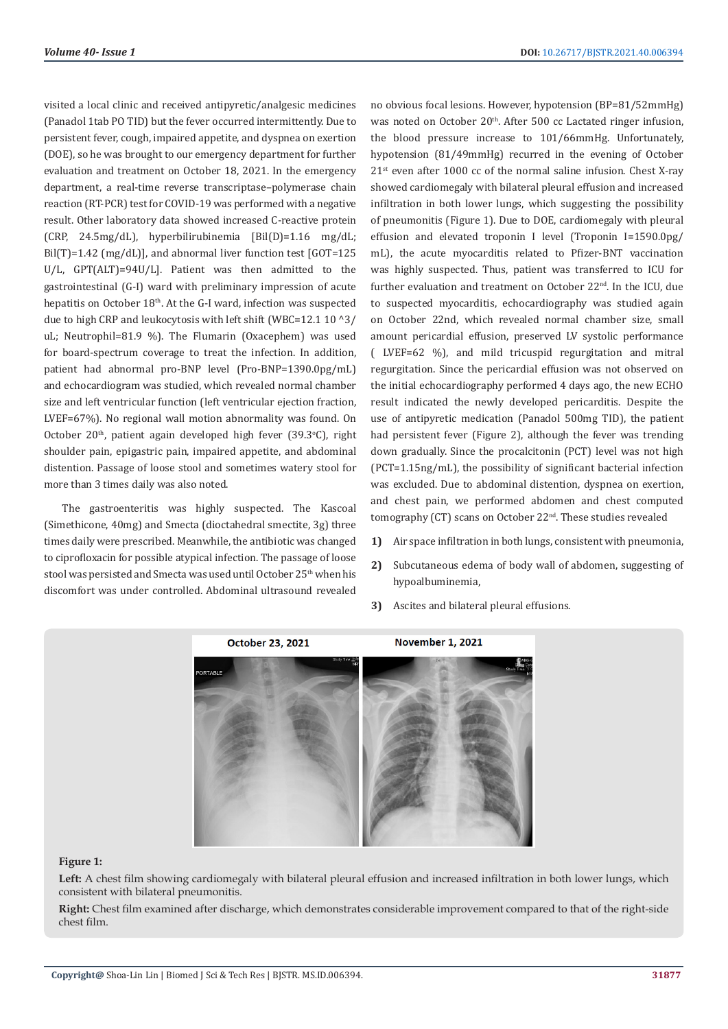visited a local clinic and received antipyretic/analgesic medicines (Panadol 1tab PO TID) but the fever occurred intermittently. Due to persistent fever, cough, impaired appetite, and dyspnea on exertion (DOE), so he was brought to our emergency department for further evaluation and treatment on October 18, 2021. In the emergency department, a real-time reverse transcriptase–polymerase chain reaction (RT-PCR) test for COVID-19 was performed with a negative result. Other laboratory data showed increased C-reactive protein (CRP, 24.5mg/dL), hyperbilirubinemia [Bil(D)=1.16 mg/dL; Bil(T)=1.42 (mg/dL)], and abnormal liver function test [GOT=125] U/L, GPT(ALT)=94U/L]. Patient was then admitted to the gastrointestinal (G-I) ward with preliminary impression of acute hepatitis on October 18<sup>th</sup>. At the G-I ward, infection was suspected due to high CRP and leukocytosis with left shift (WBC=12.1 10 ^3/ uL; Neutrophil=81.9 %). The Flumarin (Oxacephem) was used for board-spectrum coverage to treat the infection. In addition, patient had abnormal pro-BNP level (Pro-BNP=1390.0pg/mL) and echocardiogram was studied, which revealed normal chamber size and left ventricular function (left ventricular ejection fraction, LVEF=67%). No regional wall motion abnormality was found. On October 20<sup>th</sup>, patient again developed high fever (39.3°C), right shoulder pain, epigastric pain, impaired appetite, and abdominal distention. Passage of loose stool and sometimes watery stool for more than 3 times daily was also noted.

The gastroenteritis was highly suspected. The Kascoal (Simethicone, 40mg) and Smecta (dioctahedral smectite, 3g) three times daily were prescribed. Meanwhile, the antibiotic was changed to ciprofloxacin for possible atypical infection. The passage of loose stool was persisted and Smecta was used until October 25<sup>th</sup> when his discomfort was under controlled. Abdominal ultrasound revealed

no obvious focal lesions. However, hypotension (BP=81/52mmHg) was noted on October 20<sup>th</sup>. After 500 cc Lactated ringer infusion, the blood pressure increase to 101/66mmHg. Unfortunately, hypotension (81/49mmHg) recurred in the evening of October  $21<sup>st</sup>$  even after 1000 cc of the normal saline infusion. Chest X-ray showed cardiomegaly with bilateral pleural effusion and increased infiltration in both lower lungs, which suggesting the possibility of pneumonitis (Figure 1). Due to DOE, cardiomegaly with pleural effusion and elevated troponin I level (Troponin I=1590.0pg/ mL), the acute myocarditis related to Pfizer-BNT vaccination was highly suspected. Thus, patient was transferred to ICU for further evaluation and treatment on October 22<sup>nd</sup>. In the ICU, due to suspected myocarditis, echocardiography was studied again on October 22nd, which revealed normal chamber size, small amount pericardial effusion, preserved LV systolic performance ( LVEF=62 %), and mild tricuspid regurgitation and mitral regurgitation. Since the pericardial effusion was not observed on the initial echocardiography performed 4 days ago, the new ECHO result indicated the newly developed pericarditis. Despite the use of antipyretic medication (Panadol 500mg TID), the patient had persistent fever (Figure 2), although the fever was trending down gradually. Since the procalcitonin (PCT) level was not high (PCT=1.15ng/mL), the possibility of significant bacterial infection was excluded. Due to abdominal distention, dyspnea on exertion, and chest pain, we performed abdomen and chest computed tomography (CT) scans on October 22nd. These studies revealed

- **1)** Air space infiltration in both lungs, consistent with pneumonia,
- **2)** Subcutaneous edema of body wall of abdomen, suggesting of hypoalbuminemia,
- **3)** Ascites and bilateral pleural effusions.



#### **Figure 1:**

**Left:** A chest film showing cardiomegaly with bilateral pleural effusion and increased infiltration in both lower lungs, which consistent with bilateral pneumonitis.

**Right:** Chest film examined after discharge, which demonstrates considerable improvement compared to that of the right-side chest film.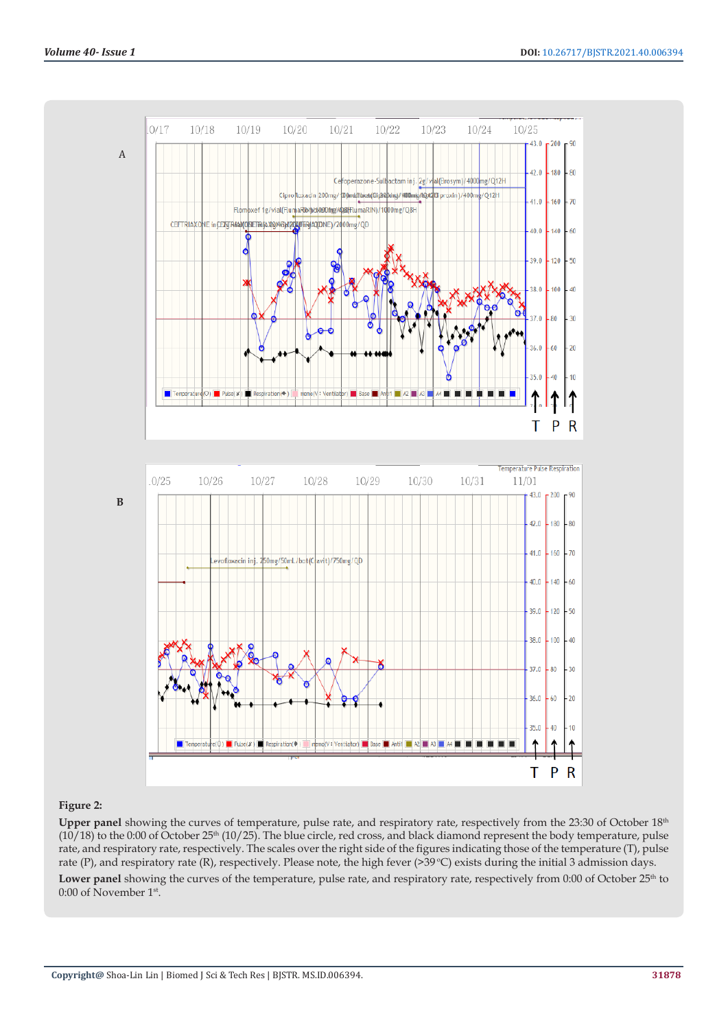

## **Figure 2:**

**Upper panel** showing the curves of temperature, pulse rate, and respiratory rate, respectively from the 23:30 of October 18th  $(10/18)$  to the 0:00 of October 25<sup>th</sup> (10/25). The blue circle, red cross, and black diamond represent the body temperature, pulse rate, and respiratory rate, respectively. The scales over the right side of the figures indicating those of the temperature (T), pulse rate (P), and respiratory rate (R), respectively. Please note, the high fever (>39 °C) exists during the initial 3 admission days. Lower panel showing the curves of the temperature, pulse rate, and respiratory rate, respectively from 0:00 of October 25<sup>th</sup> to 0:00 of November 1st.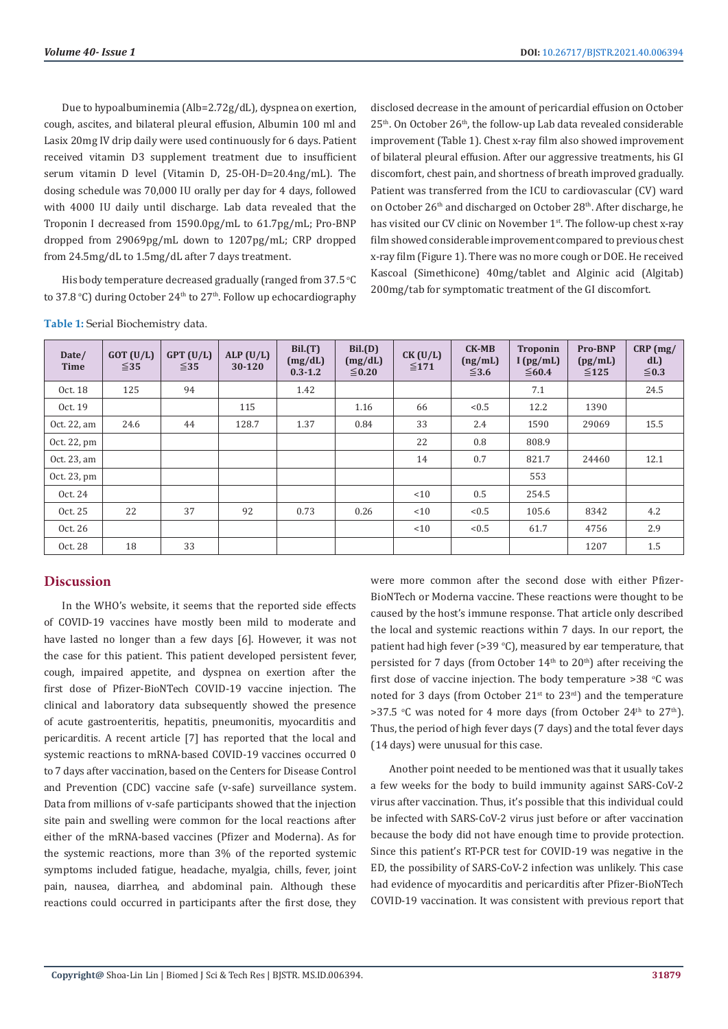Due to hypoalbuminemia (Alb=2.72g/dL), dyspnea on exertion, cough, ascites, and bilateral pleural effusion, Albumin 100 ml and Lasix 20mg IV drip daily were used continuously for 6 days. Patient received vitamin D3 supplement treatment due to insufficient serum vitamin D level (Vitamin D, 25-OH-D=20.4ng/mL). The dosing schedule was 70,000 IU orally per day for 4 days, followed with 4000 IU daily until discharge. Lab data revealed that the Troponin I decreased from 1590.0pg/mL to 61.7pg/mL; Pro-BNP dropped from 29069pg/mL down to 1207pg/mL; CRP dropped from 24.5mg/dL to 1.5mg/dL after 7 days treatment.

His body temperature decreased gradually (ranged from  $37.5\,^{\circ}\mathrm{C}$ to 37.8 °C) during October 24<sup>th</sup> to 27<sup>th</sup>. Follow up echocardiography disclosed decrease in the amount of pericardial effusion on October 25<sup>th</sup>. On October 26<sup>th</sup>, the follow-up Lab data revealed considerable improvement (Table 1). Chest x-ray film also showed improvement of bilateral pleural effusion. After our aggressive treatments, his GI discomfort, chest pain, and shortness of breath improved gradually. Patient was transferred from the ICU to cardiovascular (CV) ward on October 26<sup>th</sup> and discharged on October 28<sup>th</sup>. After discharge, he has visited our CV clinic on November 1<sup>st</sup>. The follow-up chest x-ray film showed considerable improvement compared to previous chest x-ray film (Figure 1). There was no more cough or DOE. He received Kascoal (Simethicone) 40mg/tablet and Alginic acid (Algitab) 200mg/tab for symptomatic treatment of the GI discomfort.

**Table 1:** Serial Biochemistry data.

| Date/<br><b>Time</b> | $GOT$ (U/L)<br>$\leq 35$ | $GPT$ (U/L)<br>$\leq$ 35 | ALP $(U/L)$<br>30-120 | Bil.(T)<br>(mg/dL)<br>$0.3 - 1.2$ | Bil.(D)<br>(mg/dL)<br>$\leq 0.20$ | CK (U/L)<br>$≤171$ | $CK-MB$<br>(ng/mL)<br>$\leq$ 3.6 | <b>Troponin</b><br>I(pg/mL)<br>$\leq 60.4$ | <b>Pro-BNP</b><br>(pg/mL)<br>$\leq 125$ | $CRP$ (mg/<br>dL<br>$\leq 0.3$ |
|----------------------|--------------------------|--------------------------|-----------------------|-----------------------------------|-----------------------------------|--------------------|----------------------------------|--------------------------------------------|-----------------------------------------|--------------------------------|
| Oct. 18              | 125                      | 94                       |                       | 1.42                              |                                   |                    |                                  | 7.1                                        |                                         | 24.5                           |
| Oct. 19              |                          |                          | 115                   |                                   | 1.16                              | 66                 | < 0.5                            | 12.2                                       | 1390                                    |                                |
| Oct. 22, am          | 24.6                     | 44                       | 128.7                 | 1.37                              | 0.84                              | 33                 | 2.4                              | 1590                                       | 29069                                   | 15.5                           |
| Oct. 22, pm          |                          |                          |                       |                                   |                                   | 22                 | 0.8                              | 808.9                                      |                                         |                                |
| Oct. 23, am          |                          |                          |                       |                                   |                                   | 14                 | 0.7                              | 821.7                                      | 24460                                   | 12.1                           |
| Oct. 23, pm          |                          |                          |                       |                                   |                                   |                    |                                  | 553                                        |                                         |                                |
| Oct. 24              |                          |                          |                       |                                   |                                   | < 10               | 0.5                              | 254.5                                      |                                         |                                |
| Oct. 25              | 22                       | 37                       | 92                    | 0.73                              | 0.26                              | < 10               | < 0.5                            | 105.6                                      | 8342                                    | 4.2                            |
| Oct. 26              |                          |                          |                       |                                   |                                   | < 10               | < 0.5                            | 61.7                                       | 4756                                    | 2.9                            |
| Oct. 28              | 18                       | 33                       |                       |                                   |                                   |                    |                                  |                                            | 1207                                    | 1.5                            |

# **Discussion**

In the WHO's website, it seems that the reported side effects of COVID-19 vaccines have mostly been mild to moderate and have lasted no longer than a few days [6]. However, it was not the case for this patient. This patient developed persistent fever, cough, impaired appetite, and dyspnea on exertion after the first dose of Pfizer-BioNTech COVID-19 vaccine injection. The clinical and laboratory data subsequently showed the presence of acute gastroenteritis, hepatitis, pneumonitis, myocarditis and pericarditis. A recent article [7] has reported that the local and systemic reactions to mRNA-based COVID-19 vaccines occurred 0 to 7 days after vaccination, based on the Centers for Disease Control and Prevention (CDC) vaccine safe (v-safe) surveillance system. Data from millions of v-safe participants showed that the injection site pain and swelling were common for the local reactions after either of the mRNA-based vaccines (Pfizer and Moderna). As for the systemic reactions, more than 3% of the reported systemic symptoms included fatigue, headache, myalgia, chills, fever, joint pain, nausea, diarrhea, and abdominal pain. Although these reactions could occurred in participants after the first dose, they

were more common after the second dose with either Pfizer-BioNTech or Moderna vaccine. These reactions were thought to be caused by the host's immune response. That article only described the local and systemic reactions within 7 days. In our report, the patient had high fever (>39 °C), measured by ear temperature, that persisted for 7 days (from October  $14<sup>th</sup>$  to  $20<sup>th</sup>$ ) after receiving the first dose of vaccine injection. The body temperature >38 °C was noted for 3 days (from October  $21^{st}$  to  $23^{rd}$ ) and the temperature >37.5 °C was noted for 4 more days (from October 24<sup>th</sup> to 27<sup>th</sup>). Thus, the period of high fever days (7 days) and the total fever days (14 days) were unusual for this case.

Another point needed to be mentioned was that it usually takes a few weeks for the body to build immunity against SARS-CoV-2 virus after vaccination. Thus, it's possible that this individual could be infected with SARS-CoV-2 virus just before or after vaccination because the body did not have enough time to provide protection. Since this patient's RT-PCR test for COVID-19 was negative in the ED, the possibility of SARS-CoV-2 infection was unlikely. This case had evidence of myocarditis and pericarditis after Pfizer-BioNTech COVID-19 vaccination. It was consistent with previous report that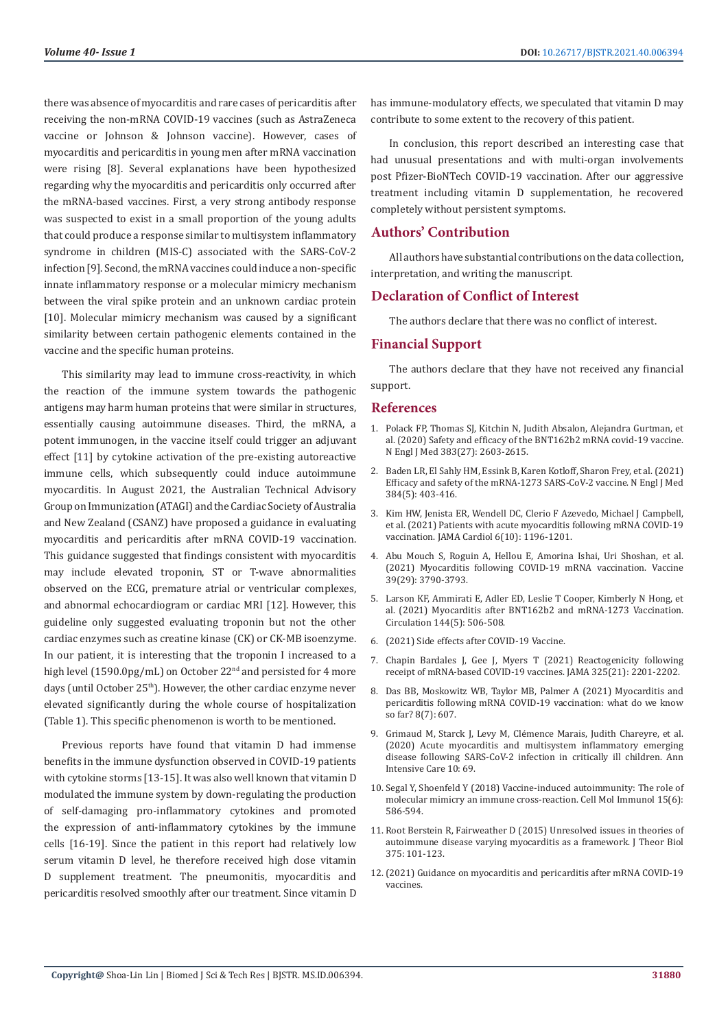there was absence of myocarditis and rare cases of pericarditis after receiving the non-mRNA COVID-19 vaccines (such as AstraZeneca vaccine or Johnson & Johnson vaccine). However, cases of myocarditis and pericarditis in young men after mRNA vaccination were rising [8]. Several explanations have been hypothesized regarding why the myocarditis and pericarditis only occurred after the mRNA-based vaccines. First, a very strong antibody response was suspected to exist in a small proportion of the young adults that could produce a response similar to multisystem inflammatory syndrome in children (MIS-C) associated with the SARS-CoV-2 infection [9]. Second, the mRNA vaccines could induce a non-specific innate inflammatory response or a molecular mimicry mechanism between the viral spike protein and an unknown cardiac protein [10]. Molecular mimicry mechanism was caused by a significant similarity between certain pathogenic elements contained in the vaccine and the specific human proteins.

This similarity may lead to immune cross-reactivity, in which the reaction of the immune system towards the pathogenic antigens may harm human proteins that were similar in structures, essentially causing autoimmune diseases. Third, the mRNA, a potent immunogen, in the vaccine itself could trigger an adjuvant effect [11] by cytokine activation of the pre-existing autoreactive immune cells, which subsequently could induce autoimmune myocarditis. In August 2021, the Australian Technical Advisory Group on Immunization (ATAGI) and the Cardiac Society of Australia and New Zealand (CSANZ) have proposed a guidance in evaluating myocarditis and pericarditis after mRNA COVID-19 vaccination. This guidance suggested that findings consistent with myocarditis may include elevated troponin, ST or T-wave abnormalities observed on the ECG, premature atrial or ventricular complexes, and abnormal echocardiogram or cardiac MRI [12]. However, this guideline only suggested evaluating troponin but not the other cardiac enzymes such as creatine kinase (CK) or CK-MB isoenzyme. In our patient, it is interesting that the troponin I increased to a high level (1590.0pg/mL) on October 22<sup>nd</sup> and persisted for 4 more days (until October 25<sup>th</sup>). However, the other cardiac enzyme never elevated significantly during the whole course of hospitalization (Table 1). This specific phenomenon is worth to be mentioned.

Previous reports have found that vitamin D had immense benefits in the immune dysfunction observed in COVID-19 patients with cytokine storms [13-15]. It was also well known that vitamin D modulated the immune system by down-regulating the production of self-damaging pro-inflammatory cytokines and promoted the expression of anti-inflammatory cytokines by the immune cells [16-19]. Since the patient in this report had relatively low serum vitamin D level, he therefore received high dose vitamin D supplement treatment. The pneumonitis, myocarditis and pericarditis resolved smoothly after our treatment. Since vitamin D

has immune-modulatory effects, we speculated that vitamin D may contribute to some extent to the recovery of this patient.

In conclusion, this report described an interesting case that had unusual presentations and with multi-organ involvements post Pfizer-BioNTech COVID-19 vaccination. After our aggressive treatment including vitamin D supplementation, he recovered completely without persistent symptoms.

### **Authors' Contribution**

All authors have substantial contributions on the data collection, interpretation, and writing the manuscript.

## **Declaration of Conflict of Interest**

The authors declare that there was no conflict of interest.

### **Financial Support**

The authors declare that they have not received any financial support.

#### **References**

- 1. [Polack FP, Thomas SJ, Kitchin N, Judith Absalon, Alejandra Gurtman, et](https://www.nejm.org/doi/full/10.1056/nejmoa2034577) [al. \(2020\) Safety and efficacy of the BNT162b2 mRNA covid-19 vaccine.](https://www.nejm.org/doi/full/10.1056/nejmoa2034577) [N Engl J Med 383\(27\): 2603-2615.](https://www.nejm.org/doi/full/10.1056/nejmoa2034577)
- 2. [Baden LR, El Sahly HM, Essink B, Karen Kotloff, Sharon Frey, et al. \(2021\)](https://www.nejm.org/doi/full/10.1056/nejmoa2035389) [Efficacy and safety of the mRNA-1273 SARS-CoV-2 vaccine. N Engl J Med](https://www.nejm.org/doi/full/10.1056/nejmoa2035389) [384\(5\): 403-416.](https://www.nejm.org/doi/full/10.1056/nejmoa2035389)
- 3. [Kim HW, Jenista ER, Wendell DC, Clerio F Azevedo, Michael J Campbell,](https://pubmed.ncbi.nlm.nih.gov/34185046/) [et al. \(2021\) Patients with acute myocarditis following mRNA COVID-19](https://pubmed.ncbi.nlm.nih.gov/34185046/) [vaccination. JAMA Cardiol 6\(10\): 1196-1201.](https://pubmed.ncbi.nlm.nih.gov/34185046/)
- 4. [Abu Mouch S, Roguin A, Hellou E, Amorina Ishai, Uri Shoshan, et al.](https://pubmed.ncbi.nlm.nih.gov/34092429/) [\(2021\) Myocarditis following COVID-19 mRNA vaccination. Vaccine](https://pubmed.ncbi.nlm.nih.gov/34092429/) [39\(29\): 3790-3793.](https://pubmed.ncbi.nlm.nih.gov/34092429/)
- 5. [Larson KF, Ammirati E, Adler ED, Leslie T Cooper, Kimberly N Hong, et](https://www.ahajournals.org/doi/10.1161/CIRCULATIONAHA.121.055913) [al. \(2021\) Myocarditis after BNT162b2 and mRNA-1273 Vaccination.](https://www.ahajournals.org/doi/10.1161/CIRCULATIONAHA.121.055913) [Circulation 144\(5\): 506-508.](https://www.ahajournals.org/doi/10.1161/CIRCULATIONAHA.121.055913)
- 6. [\(2021\) Side effects after COVID-19 Vaccine.](https://www.who.int/news-room/feature-stories/detail/side-effects-of-covid-19-vaccines)
- 7. [Chapin Bardales J, Gee J, Myers T \(2021\) Reactogenicity following](https://jamanetwork.com/journals/jama/fullarticle/2778441) [receipt of mRNA-based COVID-19 vaccines. JAMA 325\(21\): 2201-2202.](https://jamanetwork.com/journals/jama/fullarticle/2778441)
- 8. [Das BB, Moskowitz WB, Taylor MB, Palmer A \(2021\) Myocarditis and](https://pubmed.ncbi.nlm.nih.gov/34356586/) [pericarditis following mRNA COVID-19 vaccination: what do we know](https://pubmed.ncbi.nlm.nih.gov/34356586/) [so far? 8\(7\): 607.](https://pubmed.ncbi.nlm.nih.gov/34356586/)
- 9. Grimaud M, Starck J, Levy M, Clé[mence Marais, Judith Chareyre, et al.](https://annalsofintensivecare.springeropen.com/articles/10.1186/s13613-020-00690-8) [\(2020\) Acute myocarditis and multisystem inflammatory emerging](https://annalsofintensivecare.springeropen.com/articles/10.1186/s13613-020-00690-8) [disease following SARS-CoV-2 infection in critically ill children. Ann](https://annalsofintensivecare.springeropen.com/articles/10.1186/s13613-020-00690-8) [Intensive Care 10: 69.](https://annalsofintensivecare.springeropen.com/articles/10.1186/s13613-020-00690-8)
- 10. [Segal Y, Shoenfeld Y \(2018\) Vaccine-induced autoimmunity: The role of](https://pubmed.ncbi.nlm.nih.gov/29503439/) [molecular mimicry an immune cross-reaction. Cell Mol Immunol 15\(6\):](https://pubmed.ncbi.nlm.nih.gov/29503439/) [586-594.](https://pubmed.ncbi.nlm.nih.gov/29503439/)
- 11. [Root Berstein R, Fairweather D \(2015\) Unresolved issues in theories of](https://www.ncbi.nlm.nih.gov/labs/pmc/articles/PMC4417457/) [autoimmune disease varying myocarditis as a framework. J Theor Biol](https://www.ncbi.nlm.nih.gov/labs/pmc/articles/PMC4417457/) [375: 101-123.](https://www.ncbi.nlm.nih.gov/labs/pmc/articles/PMC4417457/)
- 12.[\(2021\) Guidance on myocarditis and pericarditis after mRNA COVID-19](https://www.cdc.gov/coronavirus/2019-ncov/vaccines/safety/myocarditis.html) [vaccines.](https://www.cdc.gov/coronavirus/2019-ncov/vaccines/safety/myocarditis.html)